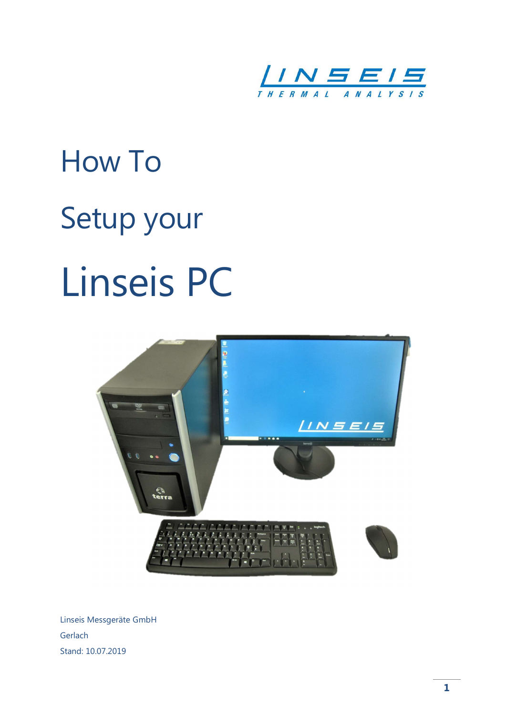

# How To Setup your Linseis PC



Linseis Messgeräte GmbH Gerlach Stand: 10.07.2019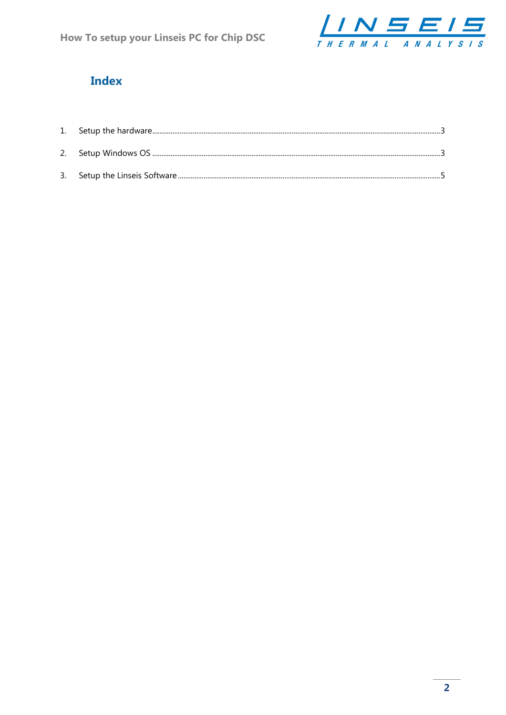

## **Index**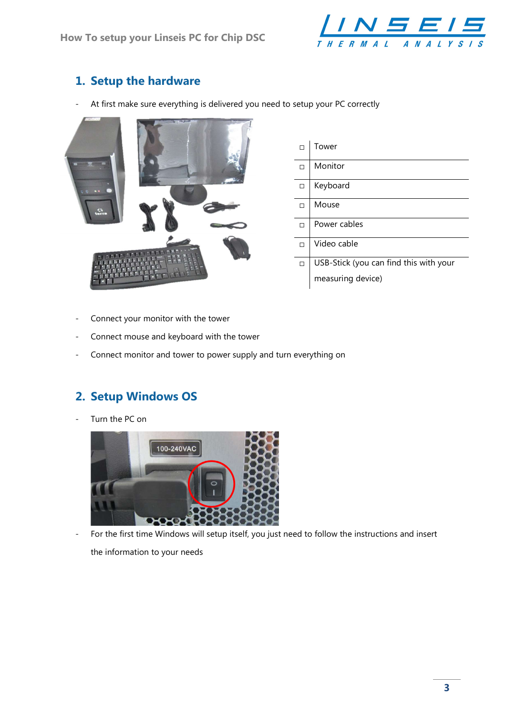

### 1. Setup the hardware

- At first make sure everything is delivered you need to setup your PC correctly



|   | Tower                                  |
|---|----------------------------------------|
| п | Monitor                                |
| □ | Keyboard                               |
| п | Mouse                                  |
| □ | Power cables                           |
| □ | Video cable                            |
| □ | USB-Stick (you can find this with your |
|   | measuring device)                      |

- Connect your monitor with the tower
- Connect mouse and keyboard with the tower
- Connect monitor and tower to power supply and turn everything on

#### 2. Setup Windows OS

Turn the PC on



- For the first time Windows will setup itself, you just need to follow the instructions and insert

the information to your needs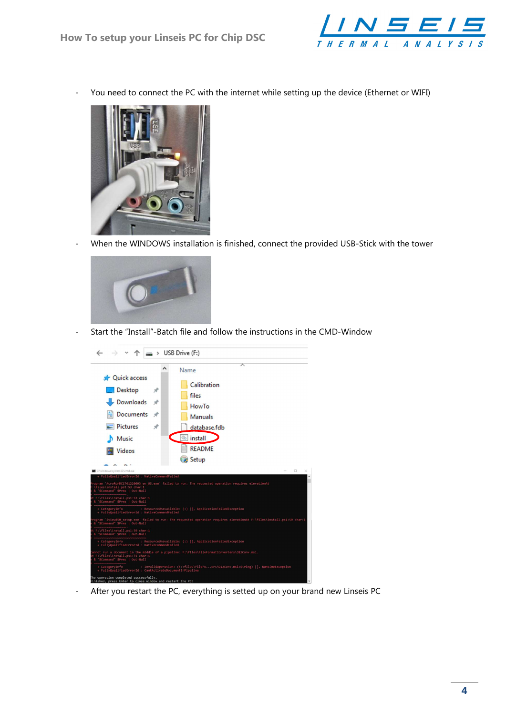

- You need to connect the PC with the internet while setting up the device (Ethernet or WIFI)



- When the WINDOWS installation is finished, connect the provided USB-Stick with the tower



- Start the "Install"-Batch file and follow the instructions in the CMD-Window



- After you restart the PC, everything is setted up on your brand new Linseis PC